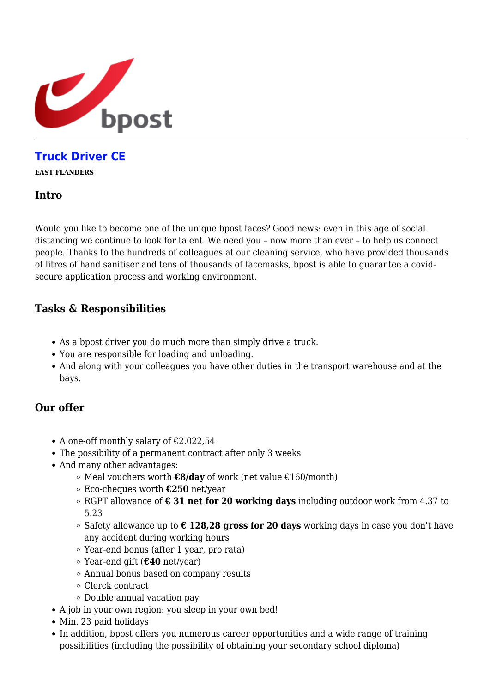

# **[Truck Driver CE](https://career.bpost.be/en/vacancy/east-flanders/truck-driver-ce/1222061)**

**EAST FLANDERS**

### **Intro**

Would you like to become one of the unique bpost faces? Good news: even in this age of social distancing we continue to look for talent. We need you – now more than ever – to help us connect people. Thanks to the hundreds of colleagues at our cleaning service, who have provided thousands of litres of hand sanitiser and tens of thousands of facemasks, bpost is able to guarantee a covidsecure application process and working environment.

## **Tasks & Responsibilities**

- As a bpost driver you do much more than simply drive a truck.
- You are responsible for loading and unloading.
- And along with your colleagues you have other duties in the transport warehouse and at the bays.

### **Our offer**

- A one-off monthly salary of  $£2.022,54$
- The possibility of a permanent contract after only 3 weeks
- And many other advantages:
	- Meal vouchers worth **€8/day** of work (net value €160/month)
	- Eco-cheques worth **€250** net/year
	- RGPT allowance of **€ 31 net for 20 working days** including outdoor work from 4.37 to 5.23
	- Safety allowance up to **€ 128,28 gross for 20 days** working days in case you don't have any accident during working hours
	- Year-end bonus (after 1 year, pro rata)
	- Year-end gift (**€40** net/year)
	- Annual bonus based on company results
	- Clerck contract
	- Double annual vacation pay
- A job in your own region: you sleep in your own bed!
- Min. 23 paid holidays
- In addition, bpost offers you numerous career opportunities and a wide range of training possibilities (including the possibility of obtaining your secondary school diploma)